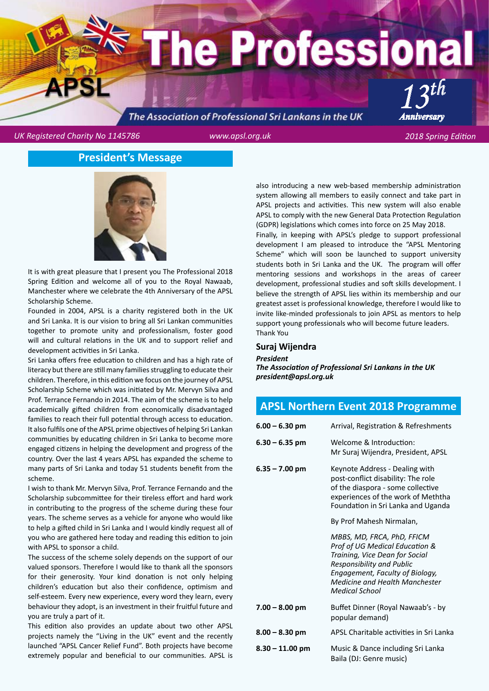# he Professional *13th Anniversary*

# The Association of Professional Sri Lankans in the UK

*UK Registered Charity No 1145786 www.apsl.org.uk 2018 Spring Edition*

# **President's Message**



It is with great pleasure that I present you The Professional 2018 Spring Edition and welcome all of you to the Royal Nawaab, Manchester where we celebrate the 4th Anniversary of the APSL Scholarship Scheme.

Founded in 2004, APSL is a charity registered both in the UK and Sri Lanka. It is our vision to bring all Sri Lankan communities together to promote unity and professionalism, foster good will and cultural relations in the UK and to support relief and development activities in Sri Lanka.

Sri Lanka offers free education to children and has a high rate of literacy but there are still many families struggling to educate their children. Therefore, in this edition we focus on the journey of APSL Scholarship Scheme which was initiated by Mr. Mervyn Silva and Prof. Terrance Fernando in 2014. The aim of the scheme is to help academically gifted children from economically disadvantaged families to reach their full potential through access to education. It also fulfils one of the APSL prime objectives of helping Sri Lankan communities by educating children in Sri Lanka to become more engaged citizens in helping the development and progress of the country. Over the last 4 years APSL has expanded the scheme to many parts of Sri Lanka and today 51 students benefit from the scheme.

I wish to thank Mr. Mervyn Silva, Prof. Terrance Fernando and the Scholarship subcommittee for their tireless effort and hard work in contributing to the progress of the scheme during these four years. The scheme serves as a vehicle for anyone who would like to help a gifted child in Sri Lanka and I would kindly request all of you who are gathered here today and reading this edition to join with APSL to sponsor a child.

The success of the scheme solely depends on the support of our valued sponsors. Therefore I would like to thank all the sponsors for their generosity. Your kind donation is not only helping children's education but also their confidence, optimism and self-esteem. Every new experience, every word they learn, every behaviour they adopt, is an investment in their fruitful future and you are truly a part of it.

This edition also provides an update about two other APSL projects namely the "Living in the UK" event and the recently launched "APSL Cancer Relief Fund". Both projects have become extremely popular and beneficial to our communities. APSL is

also introducing a new web-based membership administration system allowing all members to easily connect and take part in APSL projects and activities. This new system will also enable APSL to comply with the new General Data Protection Regulation (GDPR) legislations which comes into force on 25 May 2018.

Finally, in keeping with APSL's pledge to support professional development I am pleased to introduce the "APSL Mentoring Scheme" which will soon be launched to support university students both in Sri Lanka and the UK. The program will offer mentoring sessions and workshops in the areas of career development, professional studies and soft skills development. I believe the strength of APSL lies within its membership and our greatest asset is professional knowledge, therefore I would like to invite like-minded professionals to join APSL as mentors to help support young professionals who will become future leaders. Thank You

#### **Suraj Wijendra**

#### *President*

*The Association of Professional Sri Lankans in the UK president@apsl.org.uk*

# **APSL Northern Event 2018 Programme**

| $6.00 - 6.30$ pm  | Arrival, Registration & Refreshments                                                                                                                                                                                      |
|-------------------|---------------------------------------------------------------------------------------------------------------------------------------------------------------------------------------------------------------------------|
| $6.30 - 6.35$ pm  | Welcome & Introduction:<br>Mr Suraj Wijendra, President, APSL                                                                                                                                                             |
| $6.35 - 7.00$ pm  | Keynote Address - Dealing with<br>post-conflict disability: The role<br>of the diaspora - some collective<br>experiences of the work of Meththa<br>Foundation in Sri Lanka and Uganda                                     |
|                   | By Prof Mahesh Nirmalan,                                                                                                                                                                                                  |
|                   | MBBS, MD, FRCA, PhD, FFICM<br>Prof of UG Medical Education &<br>Training, Vice Dean for Social<br>Responsibility and Public<br>Engagement, Faculty of Biology,<br><b>Medicine and Health Manchester</b><br>Medical School |
| $7.00 - 8.00$ pm  | Buffet Dinner (Royal Nawaab's - by<br>popular demand)                                                                                                                                                                     |
| $8.00 - 8.30$ pm  | APSL Charitable activities in Sri Lanka                                                                                                                                                                                   |
| $8.30 - 11.00$ pm | Music & Dance including Sri Lanka<br>Baila (DJ: Genre music)                                                                                                                                                              |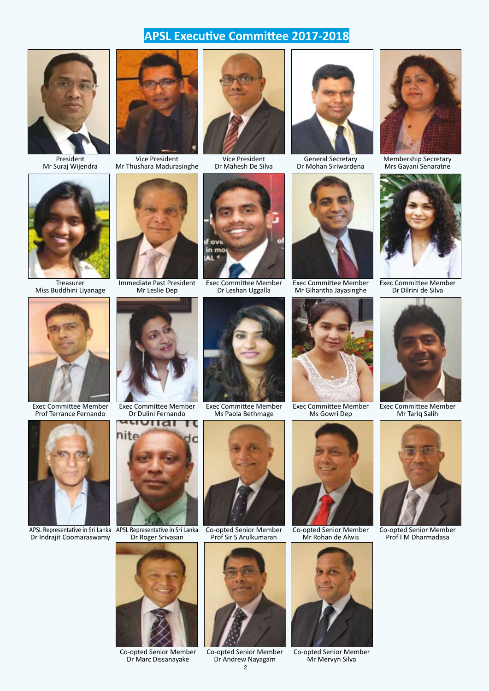# **APSL Executive Committee 2017-2018**



President Mr Suraj Wijendra



Treasurer Miss Buddhini Liyanage



Vice President Mr Thushara Madurasinghe



Immediate Past President Mr Leslie Dep



Vice President Dr Mahesh De Silva



Exec Committee Member Dr Leshan Uggalla



General Secretary Dr Mohan Siriwardena



Exec Committee Member Mr Gihantha Jayasinghe



Membership Secretary Mrs Gayani Senaratne



Exec Committee Member Dr Dilrini de Silva



Exec Committee Member Prof Terrance Fernando



APSL Representative in Sri Lanka Dr Indrajit Coomaraswamy



Exec Committee Member Dr Dulini Fernando



APSL Representative in Sri Lanka Dr Roger Srivasan



Co-opted Senior Member Dr Marc Dissanayake





Co-opted Senior Member Prof Sir S Arulkumaran



2 Co-opted Senior Member Dr Andrew Nayagam



Co-opted Senior Member Mr Rohan de Alwis



Co-opted Senior Member Mr Mervyn Silva



Exec Committee Member Mr Tariq Salih



Co-opted Senior Member Prof I M Dharmadasa

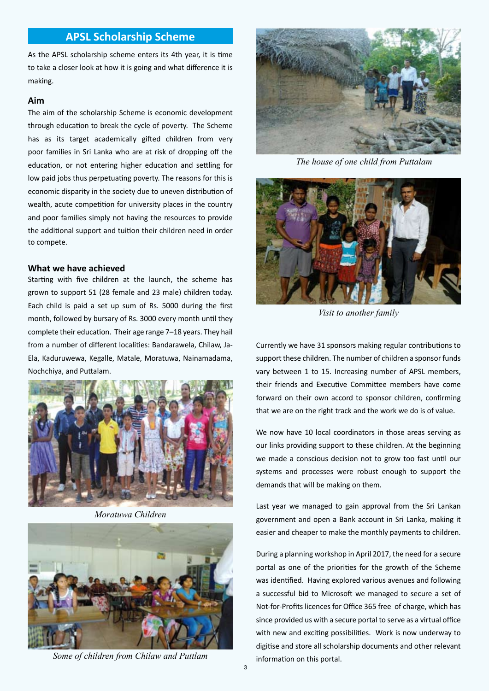#### **APSL Scholarship Scheme**

As the APSL scholarship scheme enters its 4th year, it is time to take a closer look at how it is going and what difference it is making.

#### **Aim**

The aim of the scholarship Scheme is economic development through education to break the cycle of poverty. The Scheme has as its target academically gifted children from very poor families in Sri Lanka who are at risk of dropping off the education, or not entering higher education and settling for low paid jobs thus perpetuating poverty. The reasons for this is economic disparity in the society due to uneven distribution of wealth, acute competition for university places in the country and poor families simply not having the resources to provide the additional support and tuition their children need in order to compete.

#### **What we have achieved**

Starting with five children at the launch, the scheme has grown to support 51 (28 female and 23 male) children today. Each child is paid a set up sum of Rs. 5000 during the first month, followed by bursary of Rs. 3000 every month until they complete their education. Their age range 7–18 years. They hail from a number of different localities: Bandarawela, Chilaw, Ja-Ela, Kaduruwewa, Kegalle, Matale, Moratuwa, Nainamadama, Nochchiya, and Puttalam.



*Moratuwa Children*



*Some of children from Chilaw and Puttlam*



 *The house of one child from Puttalam*



*Visit to another family*

Currently we have 31 sponsors making regular contributions to support these children. The number of children a sponsor funds vary between 1 to 15. Increasing number of APSL members, their friends and Executive Committee members have come forward on their own accord to sponsor children, confirming that we are on the right track and the work we do is of value.

We now have 10 local coordinators in those areas serving as our links providing support to these children. At the beginning we made a conscious decision not to grow too fast until our systems and processes were robust enough to support the demands that will be making on them.

Last year we managed to gain approval from the Sri Lankan government and open a Bank account in Sri Lanka, making it easier and cheaper to make the monthly payments to children.

During a planning workshop in April 2017, the need for a secure portal as one of the priorities for the growth of the Scheme was identified. Having explored various avenues and following a successful bid to Microsoft we managed to secure a set of Not-for-Profits licences for Office 365 free of charge, which has since provided us with a secure portal to serve as a virtual office with new and exciting possibilities. Work is now underway to digitise and store all scholarship documents and other relevant information on this portal.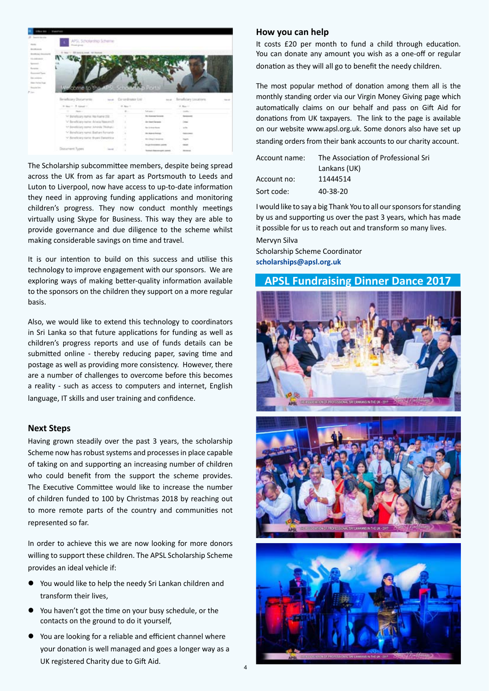| <b>This Web</b>                          | Transferred                                   |                     |                            |                                        |
|------------------------------------------|-----------------------------------------------|---------------------|----------------------------|----------------------------------------|
| <b>B.</b> Institute the<br><b>Burnty</b> | APS, Scholarship Scheme<br><b>Black plays</b> |                     |                            |                                        |
| <b>Architects</b>                        |                                               |                     |                            |                                        |
| <b>Brothus Incores</b>                   | 4 Intel 1 22 bald is a call, not become       |                     |                            |                                        |
| bi-means                                 |                                               |                     |                            |                                        |
| <b>Service</b>                           |                                               |                     |                            |                                        |
| Access 1<br><b>Business Face</b>         |                                               |                     |                            |                                        |
| <b>Barrowski</b>                         |                                               |                     |                            |                                        |
| <b>Harry Holma Road</b>                  |                                               |                     |                            |                                        |
| Analytical                               | come to the APSL Scholarship Portal           |                     |                            |                                        |
| P im                                     |                                               |                     |                            |                                        |
|                                          | Beneficiary Discurrents.                      | me Carandrator Ltd. |                            | now : Benefictory Goodtorn<br>Total AT |
|                                          |                                               |                     |                            |                                        |
|                                          | in tax = 1 minut +                            | <b>B. Box 11</b>    |                            | in New York                            |
|                                          | <b>State of</b>                               |                     | Missouri                   | <b>SAN COLLECT</b>                     |
|                                          | THE Blacket Guard Program Print, Feb. 21, 214 |                     | to insurations             |                                        |
|                                          | V Beneficiary name: Amesa Nascon (1)          | ٠                   | <b>Starting of General</b> |                                        |
|                                          | 44 Bandhisey name Juneyla Thidrani.           | ×                   | for index from             |                                        |
|                                          | V Beneficiary name: Bestien Fernando          | ¥                   | the Material School        |                                        |
|                                          | * Simele any name throws Danimhica            | ×                   | <b>Divisional America</b>  |                                        |
|                                          |                                               | $\mathbb{R}$        | <b>Stup Insurance come</b> |                                        |

The Scholarship subcommittee members, despite being spread across the UK from as far apart as Portsmouth to Leeds and Luton to Liverpool, now have access to up-to-date information they need in approving funding applications and monitoring children's progress. They now conduct monthly meetings virtually using Skype for Business. This way they are able to provide governance and due diligence to the scheme whilst making considerable savings on time and travel.

It is our intention to build on this success and utilise this technology to improve engagement with our sponsors. We are exploring ways of making better-quality information available to the sponsors on the children they support on a more regular basis.

Also, we would like to extend this technology to coordinators in Sri Lanka so that future applications for funding as well as children's progress reports and use of funds details can be submitted online - thereby reducing paper, saving time and postage as well as providing more consistency. However, there are a number of challenges to overcome before this becomes a reality - such as access to computers and internet, English language, IT skills and user training and confidence.

#### **Next Steps**

Having grown steadily over the past 3 years, the scholarship Scheme now has robust systems and processes in place capable of taking on and supporting an increasing number of children who could benefit from the support the scheme provides. The Executive Committee would like to increase the number of children funded to 100 by Christmas 2018 by reaching out to more remote parts of the country and communities not represented so far.

In order to achieve this we are now looking for more donors willing to support these children. The APSL Scholarship Scheme provides an ideal vehicle if:

- You would like to help the needy Sri Lankan children and transform their lives,
- You haven't got the time on your busy schedule, or the contacts on the ground to do it yourself,
- You are looking for a reliable and efficient channel where your donation is well managed and goes a longer way as a UK registered Charity due to Gift Aid.

#### **How you can help**

It costs £20 per month to fund a child through education. You can donate any amount you wish as a one-off or regular donation as they will all go to benefit the needy children.

The most popular method of donation among them all is the monthly standing order via our Virgin Money Giving page which automatically claims on our behalf and pass on Gift Aid for donations from UK taxpayers. The link to the page is available on our website www.apsl.org.uk. Some donors also have set up standing orders from their bank accounts to our charity account.

| Account name: | The Association of Professional Sri |  |
|---------------|-------------------------------------|--|
|               | Lankans (UK)                        |  |
| Account no:   | 11444514                            |  |
| Sort code:    | 40-38-20                            |  |

I would like to say a big Thank You to all our sponsors for standing by us and supporting us over the past 3 years, which has made it possible for us to reach out and transform so many lives. Mervyn Silva

Scholarship Scheme Coordinator **scholarships@apsl.org.uk**

## **APSL Fundraising Dinner Dance 2017**





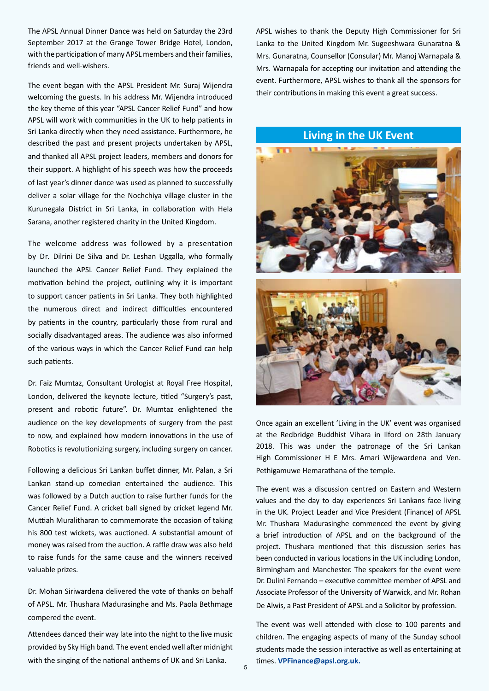The APSL Annual Dinner Dance was held on Saturday the 23rd September 2017 at the Grange Tower Bridge Hotel, London, with the participation of many APSL members and their families, friends and well-wishers.

The event began with the APSL President Mr. Suraj Wijendra welcoming the guests. In his address Mr. Wijendra introduced the key theme of this year "APSL Cancer Relief Fund" and how APSL will work with communities in the UK to help patients in Sri Lanka directly when they need assistance. Furthermore, he described the past and present projects undertaken by APSL, and thanked all APSL project leaders, members and donors for their support. A highlight of his speech was how the proceeds of last year's dinner dance was used as planned to successfully deliver a solar village for the Nochchiya village cluster in the Kurunegala District in Sri Lanka, in collaboration with Hela Sarana, another registered charity in the United Kingdom.

The welcome address was followed by a presentation by Dr. Dilrini De Silva and Dr. Leshan Uggalla, who formally launched the APSL Cancer Relief Fund. They explained the motivation behind the project, outlining why it is important to support cancer patients in Sri Lanka. They both highlighted the numerous direct and indirect difficulties encountered by patients in the country, particularly those from rural and socially disadvantaged areas. The audience was also informed of the various ways in which the Cancer Relief Fund can help such patients.

Dr. Faiz Mumtaz, Consultant Urologist at Royal Free Hospital, London, delivered the keynote lecture, titled "Surgery's past, present and robotic future". Dr. Mumtaz enlightened the audience on the key developments of surgery from the past to now, and explained how modern innovations in the use of Robotics is revolutionizing surgery, including surgery on cancer.

Following a delicious Sri Lankan buffet dinner, Mr. Palan, a Sri Lankan stand-up comedian entertained the audience. This was followed by a Dutch auction to raise further funds for the Cancer Relief Fund. A cricket ball signed by cricket legend Mr. Muttiah Muralitharan to commemorate the occasion of taking his 800 test wickets, was auctioned. A substantial amount of money was raised from the auction. A raffle draw was also held to raise funds for the same cause and the winners received valuable prizes.

Dr. Mohan Siriwardena delivered the vote of thanks on behalf of APSL. Mr. Thushara Madurasinghe and Ms. Paola Bethmage compered the event.

Attendees danced their way late into the night to the live music provided by Sky High band. The event ended well after midnight with the singing of the national anthems of UK and Sri Lanka.

APSL wishes to thank the Deputy High Commissioner for Sri Lanka to the United Kingdom Mr. Sugeeshwara Gunaratna & Mrs. Gunaratna, Counsellor (Consular) Mr. Manoj Warnapala & Mrs. Warnapala for accepting our invitation and attending the event. Furthermore, APSL wishes to thank all the sponsors for their contributions in making this event a great success.

# **Living in the UK Event**



Once again an excellent 'Living in the UK' event was organised at the Redbridge Buddhist Vihara in Ilford on 28th January 2018. This was under the patronage of the Sri Lankan High Commissioner H E Mrs. Amari Wijewardena and Ven. Pethigamuwe Hemarathana of the temple.

The event was a discussion centred on Eastern and Western values and the day to day experiences Sri Lankans face living in the UK. Project Leader and Vice President (Finance) of APSL Mr. Thushara Madurasinghe commenced the event by giving a brief introduction of APSL and on the background of the project. Thushara mentioned that this discussion series has been conducted in various locations in the UK including London, Birmingham and Manchester. The speakers for the event were Dr. Dulini Fernando – executive committee member of APSL and Associate Professor of the University of Warwick, and Mr. Rohan De Alwis, a Past President of APSL and a Solicitor by profession.

The event was well attended with close to 100 parents and children. The engaging aspects of many of the Sunday school students made the session interactive as well as entertaining at times. **VPFinance@apsl.org.uk.**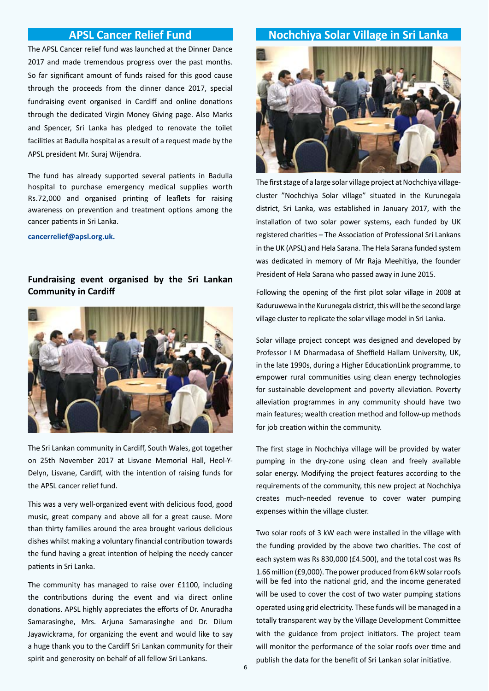The APSL Cancer relief fund was launched at the Dinner Dance 2017 and made tremendous progress over the past months. So far significant amount of funds raised for this good cause through the proceeds from the dinner dance 2017, special fundraising event organised in Cardiff and online donations through the dedicated Virgin Money Giving page. Also Marks and Spencer, Sri Lanka has pledged to renovate the toilet facilities at Badulla hospital as a result of a request made by the APSL president Mr. Suraj Wijendra.

The fund has already supported several patients in Badulla hospital to purchase emergency medical supplies worth Rs.72,000 and organised printing of leaflets for raising awareness on prevention and treatment options among the cancer patients in Sri Lanka.

**cancerrelief@apsl.org.uk.**

# **Fundraising event organised by the Sri Lankan Community in Cardiff**



The Sri Lankan community in Cardiff, South Wales, got together on 25th November 2017 at Lisvane Memorial Hall, Heol-Y-Delyn, Lisvane, Cardiff, with the intention of raising funds for the APSL cancer relief fund.

This was a very well-organized event with delicious food, good music, great company and above all for a great cause. More than thirty families around the area brought various delicious dishes whilst making a voluntary financial contribution towards the fund having a great intention of helping the needy cancer patients in Sri Lanka.

The community has managed to raise over £1100, including the contributions during the event and via direct online donations. APSL highly appreciates the efforts of Dr. Anuradha Samarasinghe, Mrs. Arjuna Samarasinghe and Dr. Dilum Jayawickrama, for organizing the event and would like to say a huge thank you to the Cardiff Sri Lankan community for their spirit and generosity on behalf of all fellow Sri Lankans.

# **APSL Cancer Relief Fund Nochchiya Solar Village in Sri Lanka**



The first stage of a large solar village project at Nochchiya villagecluster "Nochchiya Solar village" situated in the Kurunegala district, Sri Lanka, was established in January 2017, with the installation of two solar power systems, each funded by UK registered charities – The Association of Professional Sri Lankans in the UK (APSL) and Hela Sarana. The Hela Sarana funded system was dedicated in memory of Mr Raja Meehitiya, the founder President of Hela Sarana who passed away in June 2015.

Following the opening of the first pilot solar village in 2008 at Kaduruwewa in the Kurunegala district, this will be the second large village cluster to replicate the solar village model in Sri Lanka.

Solar village project concept was designed and developed by Professor I M Dharmadasa of Sheffield Hallam University, UK, in the late 1990s, during a Higher EducationLink programme, to empower rural communities using clean energy technologies for sustainable development and poverty alleviation. Poverty alleviation programmes in any community should have two main features; wealth creation method and follow-up methods for job creation within the community.

The first stage in Nochchiya village will be provided by water pumping in the dry-zone using clean and freely available solar energy. Modifying the project features according to the requirements of the community, this new project at Nochchiya creates much-needed revenue to cover water pumping expenses within the village cluster.

Two solar roofs of 3 kW each were installed in the village with the funding provided by the above two charities. The cost of each system was Rs 830,000 (£4.500), and the total cost was Rs 1.66 million (£9,000). The power produced from 6 kW solar roofs will be fed into the national grid, and the income generated will be used to cover the cost of two water pumping stations operated using grid electricity. These funds will be managed in a totally transparent way by the Village Development Committee with the guidance from project initiators. The project team will monitor the performance of the solar roofs over time and publish the data for the benefit of Sri Lankan solar initiative.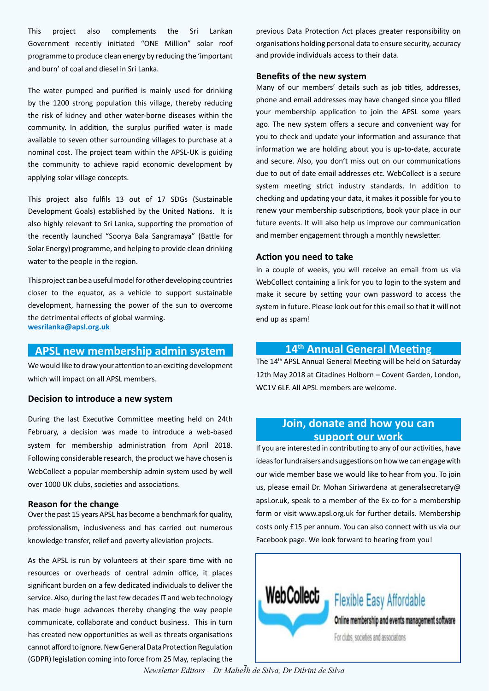This project also complements the Sri Lankan Government recently initiated "ONE Million" solar roof programme to produce clean energy by reducing the 'important and burn' of coal and diesel in Sri Lanka.

The water pumped and purified is mainly used for drinking by the 1200 strong population this village, thereby reducing the risk of kidney and other water-borne diseases within the community. In addition, the surplus purified water is made available to seven other surrounding villages to purchase at a nominal cost. The project team within the APSL-UK is guiding the community to achieve rapid economic development by applying solar village concepts.

This project also fulfils 13 out of 17 SDGs (Sustainable Development Goals) established by the United Nations. It is also highly relevant to Sri Lanka, supporting the promotion of the recently launched "Soorya Bala Sangramaya" (Battle for Solar Energy) programme, and helping to provide clean drinking water to the people in the region.

This project can be a useful model for other developing countries closer to the equator, as a vehicle to support sustainable development, harnessing the power of the sun to overcome the detrimental effects of global warming. **wesrilanka@apsl.org.uk**

## **APSL new membership admin system**

We would like to draw your attention to an exciting development which will impact on all APSL members.

#### **Decision to introduce a new system**

During the last Executive Committee meeting held on 24th February, a decision was made to introduce a web-based system for membership administration from April 2018. Following considerable research, the product we have chosen is WebCollect a popular membership admin system used by well over 1000 UK clubs, societies and associations.

#### **Reason for the change**

Over the past 15 years APSL has become a benchmark for quality, professionalism, inclusiveness and has carried out numerous knowledge transfer, relief and poverty alleviation projects.

As the APSL is run by volunteers at their spare time with no resources or overheads of central admin office, it places significant burden on a few dedicated individuals to deliver the service. Also, during the last few decades IT and web technology has made huge advances thereby changing the way people communicate, collaborate and conduct business. This in turn has created new opportunities as well as threats organisations cannot afford to ignore. New General Data Protection Regulation (GDPR) legislation coming into force from 25 May, replacing the

previous Data Protection Act places greater responsibility on organisations holding personal data to ensure security, accuracy and provide individuals access to their data.

#### **Benefits of the new system**

Many of our members' details such as job titles, addresses, phone and email addresses may have changed since you filled your membership application to join the APSL some years ago. The new system offers a secure and convenient way for you to check and update your information and assurance that information we are holding about you is up-to-date, accurate and secure. Also, you don't miss out on our communications due to out of date email addresses etc. WebCollect is a secure system meeting strict industry standards. In addition to checking and updating your data, it makes it possible for you to renew your membership subscriptions, book your place in our future events. It will also help us improve our communication and member engagement through a monthly newsletter.

#### **Action you need to take**

In a couple of weeks, you will receive an email from us via WebCollect containing a link for you to login to the system and make it secure by setting your own password to access the system in future. Please look out for this email so that it will not end up as spam!

# **14th Annual General Meeting**

The 14th APSL Annual General Meeting will be held on Saturday 12th May 2018 at Citadines Holborn – Covent Garden, London, WC1V 6LF. All APSL members are welcome.

# **Join, donate and how you can support our work**

If you are interested in contributing to any of our activities, have ideas for fundraisers and suggestions on how we can engage with our wide member base we would like to hear from you. To join us, please email Dr. Mohan Siriwardena at generalsecretary@ apsl.or.uk, speak to a member of the Ex-co for a membership form or visit www.apsl.org.uk for further details. Membership costs only £15 per annum. You can also connect with us via our Facebook page. We look forward to hearing from you!